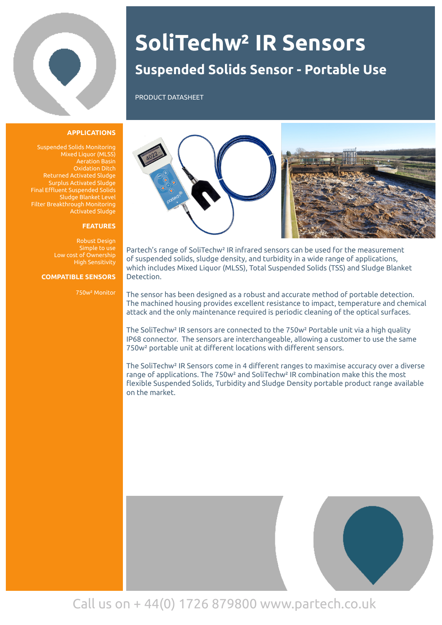

## **Suspended Solids Sensor - Portable Use SoliTechw² IR Sensors**

PRODUCT DATASHEET

#### **APPLICATIONS**

Suspended Solids Monitoring Mixed Liquor (MLSS) Aeration Basin Oxidation Ditch Returned Activated Sludge Surplus Activated Sludge Final Effluent Suspended Solids Sludge Blanket Level Filter Breakthrough Monitoring Activated Sludge

#### **FEATURES**

Robust Design Simple to use High Sensitivity

#### **COMPATIBLE SENSORS**

750w² Monitor



Partech's range of SoliTechw² IR infrared sensors can be used for the measurement of suspended solids, sludge density, and turbidity in a wide range of applications, which includes Mixed Liquor (MLSS), Total Suspended Solids (TSS) and Sludge Blanket Detection.

The sensor has been designed as a robust and accurate method of portable detection. The machined housing provides excellent resistance to impact, temperature and chemical attack and the only maintenance required is periodic cleaning of the optical surfaces.

The SoliTechw² IR sensors are connected to the 750w² Portable unit via a high quality IP68 connector. The sensors are interchangeable, allowing a customer to use the same 750w² portable unit at different locations with different sensors.

The SoliTechw² IR Sensors come in 4 different ranges to maximise accuracy over a diverse range of applications. The 750w² and SoliTechw² IR combination make this the most flexible Suspended Solids, Turbidity and Sludge Density portable product range available on the market.